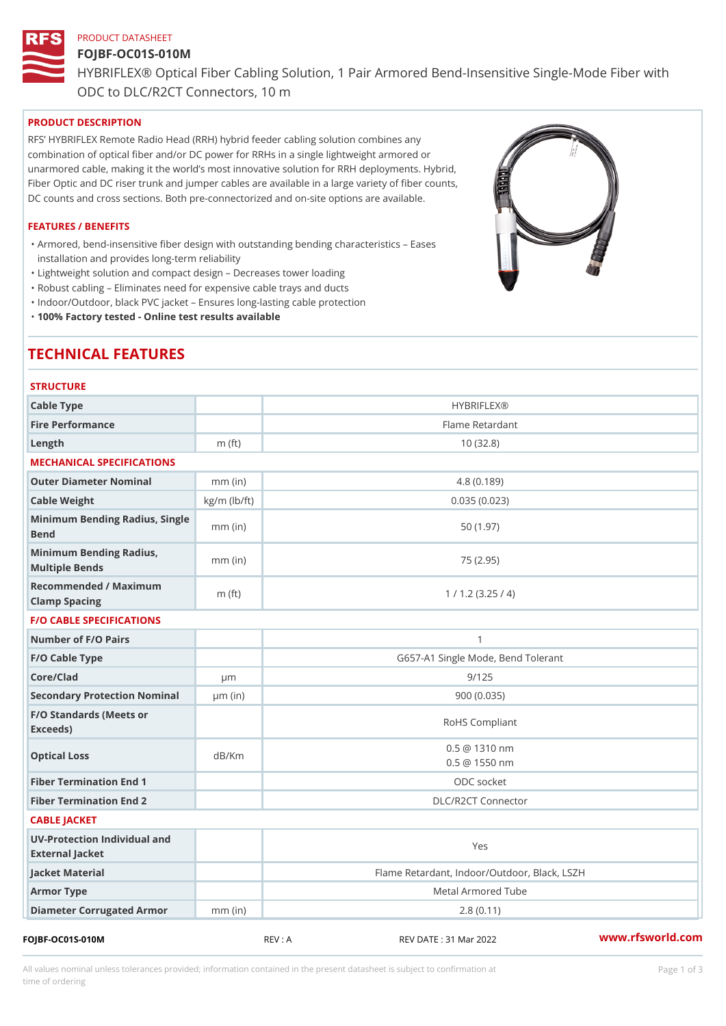# PRODUCT DATASHEET FOJBF-OC01S-010M HYBRIFLEX® Optical Fiber Cabling Solution, 1 Pair Armored Bend-Inse ODC to DLC/R2CT Connectors, 10 m

## PRODUCT DESCRIPTION

RFS HYBRIFLEX Remote Radio Head (RRH) hybrid feeder cabling solution combines any combination of optical fiber and/or DC power for RRHs in a single lightweight armored or unarmored cable, making it the world s most innovative solution for RRH deployments. Hybrid, Fiber Optic and DC riser trunk and jumper cables are available in a large variety of fiber counts, DC counts and cross sections. Both pre-connectorized and on-site options are available.

#### FEATURES / BENEFITS

Armored, bend-insensitive fiber design with outstanding bending characteristics Eases " installation and provides long-term reliability

"Lightweight solution and compact design Decreases tower loading

- "Robust cabling Eliminates need for expensive cable trays and ducts
- "Indoor/Outdoor, black PVC jacket Ensures long-lasting cable protection

"100% Factory tested - Online test results available

# TECHNICAL FEATURES

| <b>STRUCTURE</b>                                  |                    |                                                |
|---------------------------------------------------|--------------------|------------------------------------------------|
| Cable Type                                        |                    | <b>HYBRIFLEX®</b>                              |
| Fire Performance                                  |                    | Flame Retardant                                |
| $L$ ength                                         | $m$ (ft)           | 10(32.8)                                       |
| MECHANICAL SPECIFICATIONS                         |                    |                                                |
| Outer Diameter Nominal                            | $mm$ (in)          | 4.8(0.189)                                     |
| Cable Weight                                      | $kg/m$ ( $lb/ft$ ) | 0.035(0.023)                                   |
| Minimum Bending Radius, Single<br>mm (in)<br>Bend |                    | 50 (1.97)                                      |
| Minimum Bending Radius, mm (in)<br>Multiple Bends |                    | 75 (2.95)                                      |
| Recommended / Maximum<br>Clamp Spacing            | $m$ (ft)           | 1 / 1.2 (3.25 / 4)                             |
| <b>F/O CABLE SPECIFICATIONS</b>                   |                    |                                                |
| Number of F/O Pairs                               |                    | $\mathbf{1}$                                   |
| F/O Cable Type                                    |                    | G657-A1 Single Mode, Bend Tolerant             |
| Core/Clad                                         | $\mu$ m            | 9/125                                          |
| Secondary Protection Nomimal(in)                  |                    | 900 (0.035)                                    |
| F/O Standards (Meets or<br>Exceeds)               |                    | RoHS Compliant                                 |
| Optical Loss                                      | dB/Km              | $0.5 \ @ \ 1310 \ nm$<br>$0.5 \ @ \ 1550 \ nm$ |
| Fiber Termination End                             |                    | ODC socket                                     |
| Fiber Termination End 2                           |                    | DLC/R2CT Connector                             |
| CABLE JACKET                                      |                    |                                                |
| UV-Protection Individual and<br>External Jacket   |                    | Yes                                            |
| Jacket Material                                   |                    | Flame Retardant, Indoor/Outdoor, Black, LSZH   |
| Armor Type                                        |                    | Metal Armored Tube                             |
| Diameter Corrugated Armomm (in)                   |                    | 2.8(0.11)                                      |
|                                                   |                    |                                                |

FOJBF-OC01S-010M REV : A REV DATE : 31 Mar 2022 [www.](https://www.rfsworld.com)rfsworld.com

All values nominal unless tolerances provided; information contained in the present datasheet is subject to Pcapgeign mation time of ordering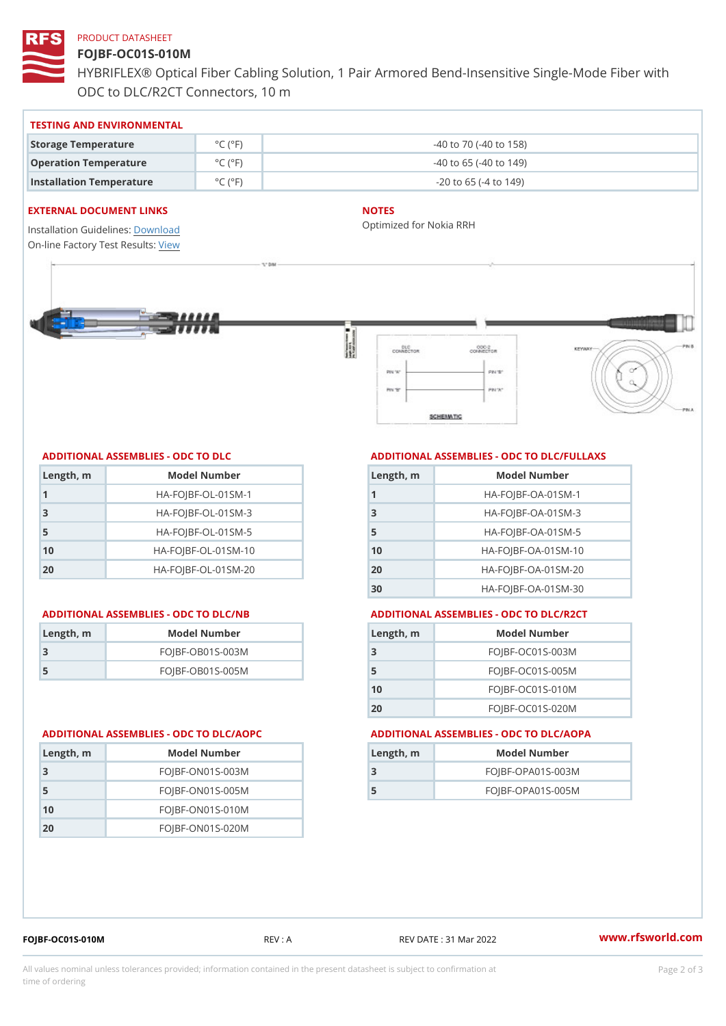# PRODUCT DATASHEET

# FOJBF-OC01S-010M

HYBRIFLEX® Optical Fiber Cabling Solution, 1 Pair Armored Bend-Inse ODC to DLC/R2CT Connectors, 10 m

#### TESTING AND ENVIRONMENTAL

| Storage Temperature              | $^{\circ}$ C ( $^{\circ}$ F $\vert$ | $-40$ to $70$ ( $-40$ to $158$ ) |
|----------------------------------|-------------------------------------|----------------------------------|
| Operation Temperature            | $^{\circ}$ C ( $^{\circ}$ F $\vert$ | $-40$ to 65 ( $-40$ to 149)      |
| Installation Temperature °C (°F) |                                     | $-20$ to 65 ( $-4$ to 149)       |

#### EXTERNAL DOCUMENT LINKS

Installation Guidelwinessad On-line Factory Te[s](https://www.rfsworld.com/pictures/userfiles/programs/AAST Latest Version.zip)teResults:

## NOTES

Optimized for Nokia RRH

### ADDITIONAL ASSEMBLIES - ODC TO DLC

| Length, m | Model Number                   |
|-----------|--------------------------------|
| 1         | $HA - FOJBF - OL - 01SM - 1$   |
| -3        | $HA - FOJBF - OL - 01SM - 3$   |
| 5         | $HA - FOJBF - OL - 01SM - 5$   |
| 10        | $HA - FOJBF - O L - 01SM - 10$ |
| 20        | $HA - FOJBF - O L - 01SM - 20$ |

#### ADDITIONAL ASSEMBLIES - ODC TO DLC/NB ADDITIONAL ASSEMBLIES - ODC TO DLC/R2CT

| Length, rn | Model Number       |
|------------|--------------------|
| -3         | $FOJBF-OBO1S-OO3M$ |
| -5         | $FOJBF-OBO1S-OO5M$ |

# ADDITIONAL ASSEMBLIES - ODC TO DLC/FULLAXS

| Length, m | Model Number                  |
|-----------|-------------------------------|
|           | $HA - FOJBF - OA - 01SM - 1$  |
| 3         | $HA - FOJBF - OA - 01SM - B$  |
| 5         | $HA - FOJBF - OA - 01SM - 5$  |
| 10        | $HA - FOJBF - OA - 01SM - 10$ |
| 20        | $HA - FOJBF - OA - 01SM - 20$ |
| 30        | HA-FOJBF-OA-01SM-30           |

| Length, m | Model Number       |
|-----------|--------------------|
| -3        | $FOJBF-OCO1S-OO3M$ |
| 5         | $FOJBF-OCO1S-OO5M$ |
| 10        | $FOJBF-OCO1S-010M$ |
| 20        | $FOJBF-OCO1S-020M$ |

#### ADDITIONAL ASSEMBLIES - ODC TO DLC/AOPC ADDITIONAL ASSEMBLIES - ODC TO DLC/AOPA

| Length, m     | Model Number      |
|---------------|-------------------|
|               | FOJBF-OPA01S-003M |
| $\mathcal{L}$ | FOJBF-OPA01S-005M |

| Length, m | Model Number       |
|-----------|--------------------|
| -3        | $FOJBF-ONO1S-003M$ |
| - 5       | $FOJBF-ONO1S-005M$ |
| 10        | $FOJBF-ONO1S-010M$ |
| 20        | $FOJBF-ONO1S-020M$ |

FOJBF-OC01S-010M REV : A REV DATE : 31 Mar 2022 [www.](https://www.rfsworld.com)rfsworld.com

All values nominal unless tolerances provided; information contained in the present datasheet is subject to Pcapgelio an atio time of ordering